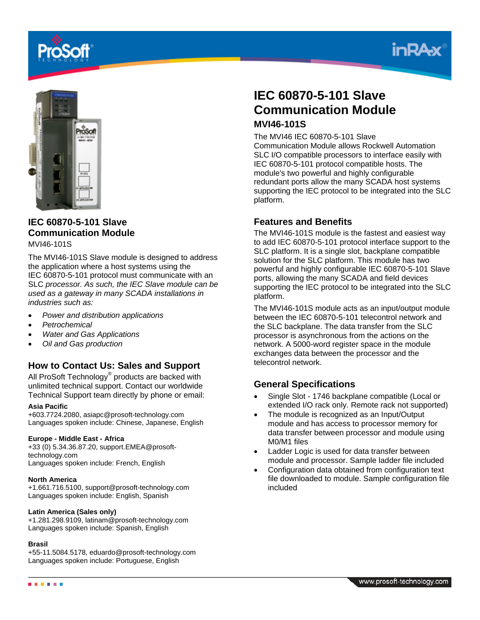





## **IEC 60870-5-101 Slave Communication Module**

MVI46-101S

The MVI46-101S Slave module is designed to address the application where a host systems using the IEC 60870-5-101 protocol must communicate with an SLC *processor. As such, the IEC Slave module can be used as a gateway in many SCADA installations in industries such as:*

- *Power and distribution applications*
- *Petrochemical*
- *Water and Gas Applications*
- *Oil and Gas production*

### **How to Contact Us: Sales and Support**

All ProSoft Technology® products are backed with unlimited technical support. Contact our worldwide Technical Support team directly by phone or email:

### **Asia Pacific**

+603.7724.2080, asiapc@prosoft-technology.com Languages spoken include: Chinese, Japanese, English

### **Europe - Middle East - Africa**

+33 (0) 5.34.36.87.20, support.EMEA@prosofttechnology.com Languages spoken include: French, English

### **North America**

+1.661.716.5100, support@prosoft-technology.com Languages spoken include: English, Spanish

### **Latin America (Sales only)**

+1.281.298.9109, latinam@prosoft-technology.com Languages spoken include: Spanish, English

#### **Brasil**

+55-11.5084.5178, eduardo@prosoft-technology.com Languages spoken include: Portuguese, English

# **IEC 60870-5-101 Slave Communication Module MVI46-101S**

The MVI46 IEC 60870-5-101 Slave

Communication Module allows Rockwell Automation SLC I/O compatible processors to interface easily with IEC 60870-5-101 protocol compatible hosts. The module's two powerful and highly configurable redundant ports allow the many SCADA host systems supporting the IEC protocol to be integrated into the SLC platform.

### **Features and Benefits**

The MVI46-101S module is the fastest and easiest way to add IEC 60870-5-101 protocol interface support to the SLC platform. It is a single slot, backplane compatible solution for the SLC platform. This module has two powerful and highly configurable IEC 60870-5-101 Slave ports, allowing the many SCADA and field devices supporting the IEC protocol to be integrated into the SLC platform.

The MVI46-101S module acts as an input/output module between the IEC 60870-5-101 telecontrol network and the SLC backplane. The data transfer from the SLC processor is asynchronous from the actions on the network. A 5000-word register space in the module exchanges data between the processor and the telecontrol network.

### **General Specifications**

- Single Slot 1746 backplane compatible (Local or extended I/O rack only. Remote rack not supported)
- The module is recognized as an Input/Output module and has access to processor memory for data transfer between processor and module using M0/M1 files
- Ladder Logic is used for data transfer between module and processor. Sample ladder file included
- Configuration data obtained from configuration text file downloaded to module. Sample configuration file included